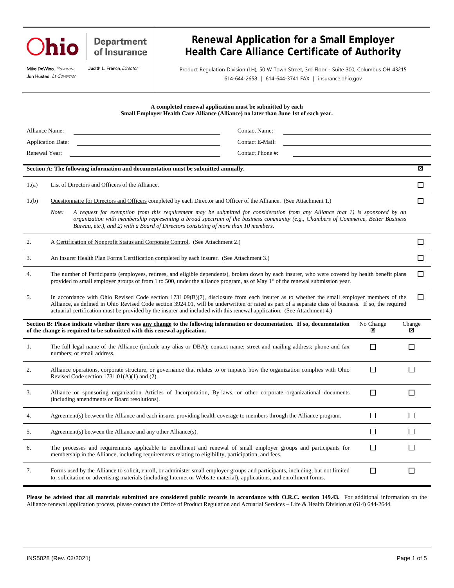| nio |  |
|-----|--|
|     |  |

## **Department** of Insurance

# **Renewal Application for a Small Employer Health Care Alliance Certificate of Authority**

Mike DeWine, Governor Jon Husted, Lt Governor Judith L. French, Director Product Regulation Division (LH), 50 W Town Street, 3rd Floor - Suite 300, Columbus OH 43215 614-644-2658 | 614-644-3741 FAX | insurance.ohio.gov

#### **A completed renewal application must be submitted by each Small Employer Health Care Alliance (Alliance) no later than June 1st of each year.**

| Alliance Name:<br>Renewal Year: | <b>Contact Name:</b><br>Contact E-Mail:<br><b>Application Date:</b><br><u> 1980 - Andrea Station Barbara, amerikan personal (h. 1980).</u><br>Contact Phone#:                                                                                                                                                                                                                                                                |  |                |             |
|---------------------------------|------------------------------------------------------------------------------------------------------------------------------------------------------------------------------------------------------------------------------------------------------------------------------------------------------------------------------------------------------------------------------------------------------------------------------|--|----------------|-------------|
|                                 |                                                                                                                                                                                                                                                                                                                                                                                                                              |  |                | 図           |
|                                 | Section A: The following information and documentation must be submitted annually.                                                                                                                                                                                                                                                                                                                                           |  |                |             |
| 1.(a)                           | List of Directors and Officers of the Alliance.                                                                                                                                                                                                                                                                                                                                                                              |  |                | $\Box$      |
| 1.(b)                           | Questionnaire for Directors and Officers completed by each Director and Officer of the Alliance. (See Attachment 1.)                                                                                                                                                                                                                                                                                                         |  | $\Box$         |             |
|                                 | A request for exemption from this requirement may be submitted for consideration from any Alliance that 1) is sponsored by an<br>Note:<br>organization with membership representing a broad spectrum of the business community (e.g., Chambers of Commerce, Better Business<br>Bureau, etc.), and 2) with a Board of Directors consisting of more than 10 members.                                                           |  |                |             |
| 2.                              | A Certification of Nonprofit Status and Corporate Control. (See Attachment 2.)                                                                                                                                                                                                                                                                                                                                               |  |                | □           |
| 3.                              | An Insurer Health Plan Forms Certification completed by each insurer. (See Attachment 3.)                                                                                                                                                                                                                                                                                                                                    |  |                | □           |
| 4.                              | The number of Participants (employees, retirees, and eligible dependents), broken down by each insurer, who were covered by health benefit plans<br>provided to small employer groups of from 1 to 500, under the alliance program, as of May 1 <sup>st</sup> of the renewal submission year.                                                                                                                                |  |                | $\Box$      |
| 5.                              | In accordance with Ohio Revised Code section 1731.09(B)(7), disclosure from each insurer as to whether the small employer members of the<br>Alliance, as defined in Ohio Revised Code section 3924.01, will be underwritten or rated as part of a separate class of business. If so, the required<br>actuarial certification must be provided by the insurer and included with this renewal application. (See Attachment 4.) |  |                | $\Box$      |
|                                 | Section B: Please indicate whether there was any change to the following information or documentation. If so, documentation<br>of the change is required to be submitted with this renewal application.                                                                                                                                                                                                                      |  | No Change<br>⊠ | Change<br>⊠ |
| 1.                              | The full legal name of the Alliance (include any alias or DBA); contact name; street and mailing address; phone and fax<br>numbers; or email address.                                                                                                                                                                                                                                                                        |  | П              | □           |
| 2.                              | Alliance operations, corporate structure, or governance that relates to or impacts how the organization complies with Ohio<br>Revised Code section $1731.01(A)(1)$ and (2).                                                                                                                                                                                                                                                  |  | П              | $\Box$      |
| 3.                              | Alliance or sponsoring organization Articles of Incorporation, By-laws, or other corporate organizational documents<br>(including amendments or Board resolutions).                                                                                                                                                                                                                                                          |  | П              | $\Box$      |
| 4.                              | Agreement(s) between the Alliance and each insurer providing health coverage to members through the Alliance program.                                                                                                                                                                                                                                                                                                        |  | П              | □           |
| 5.                              | Agreement(s) between the Alliance and any other Alliance(s).                                                                                                                                                                                                                                                                                                                                                                 |  | □              | □           |
| 6.                              | The processes and requirements applicable to enrollment and renewal of small employer groups and participants for<br>membership in the Alliance, including requirements relating to eligibility, participation, and fees.                                                                                                                                                                                                    |  | П              | П           |
| 7.                              | Forms used by the Alliance to solicit, enroll, or administer small employer groups and participants, including, but not limited<br>to, solicitation or advertising materials (including Internet or Website material), applications, and enrollment forms.                                                                                                                                                                   |  | $\Box$         | П           |

Please be advised that all materials submitted are considered public records in accordance with O.R.C. section 149.43. For additional information on the Alliance renewal application process, please contact the Office of Product Regulation and Actuarial Services – Life & Health Division at (614) 644-2644.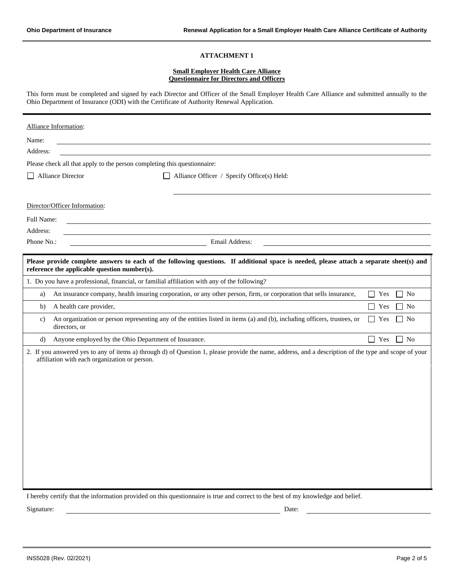### **Small Employer Health Care Alliance Questionnaire for Directors and Officers**

This form must be completed and signed by each Director and Officer of the Small Employer Health Care Alliance and submitted annually to the Ohio Department of Insurance (ODI) with the Certificate of Authority Renewal Application.

| Name:                                                                                                                                                                                                  |  |  |  |  |  |
|--------------------------------------------------------------------------------------------------------------------------------------------------------------------------------------------------------|--|--|--|--|--|
| Address:                                                                                                                                                                                               |  |  |  |  |  |
| Please check all that apply to the person completing this questionnaire:                                                                                                                               |  |  |  |  |  |
| Alliance Director<br>$\Box$ Alliance Officer / Specify Office(s) Held:                                                                                                                                 |  |  |  |  |  |
|                                                                                                                                                                                                        |  |  |  |  |  |
| Director/Officer Information:                                                                                                                                                                          |  |  |  |  |  |
| Full Name:                                                                                                                                                                                             |  |  |  |  |  |
| Address:                                                                                                                                                                                               |  |  |  |  |  |
| Phone No.:<br>Email Address:                                                                                                                                                                           |  |  |  |  |  |
|                                                                                                                                                                                                        |  |  |  |  |  |
| Please provide complete answers to each of the following questions. If additional space is needed, please attach a separate sheet(s) and<br>reference the applicable question number(s).               |  |  |  |  |  |
| 1. Do you have a professional, financial, or familial affiliation with any of the following?                                                                                                           |  |  |  |  |  |
| An insurance company, health insuring corporation, or any other person, firm, or corporation that sells insurance,<br>Yes<br>$\Box$ No<br>a)                                                           |  |  |  |  |  |
| A health care provider,<br>Yes<br>$\Box$ No<br>b)                                                                                                                                                      |  |  |  |  |  |
| An organization or person representing any of the entities listed in items (a) and (b), including officers, trustees, or<br>Yes<br>l No<br>c)<br>directors, or                                         |  |  |  |  |  |
| Anyone employed by the Ohio Department of Insurance.<br>$\Box$ Yes<br>$\Box$ No<br>d)                                                                                                                  |  |  |  |  |  |
| 2. If you answered yes to any of items a) through d) of Question 1, please provide the name, address, and a description of the type and scope of your<br>affiliation with each organization or person. |  |  |  |  |  |
|                                                                                                                                                                                                        |  |  |  |  |  |
|                                                                                                                                                                                                        |  |  |  |  |  |
|                                                                                                                                                                                                        |  |  |  |  |  |
|                                                                                                                                                                                                        |  |  |  |  |  |
|                                                                                                                                                                                                        |  |  |  |  |  |
|                                                                                                                                                                                                        |  |  |  |  |  |
|                                                                                                                                                                                                        |  |  |  |  |  |
|                                                                                                                                                                                                        |  |  |  |  |  |
|                                                                                                                                                                                                        |  |  |  |  |  |
|                                                                                                                                                                                                        |  |  |  |  |  |
| I hereby certify that the information provided on this questionnaire is true and correct to the best of my knowledge and belief.                                                                       |  |  |  |  |  |

Signature: Date: Date: Date: Date: Date: Date: Date: Date: Date: Date: Date: Date: Date: Date: Date: Date: Date: Date: Date: Date: Date: Date: Date: Date: Date: Date: Date: Date: Date: Date: Date: Date: Date: Date: Date: D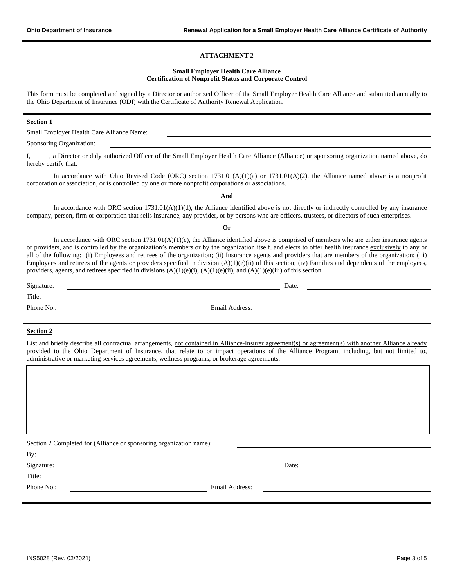#### **Small Employer Health Care Alliance Certification of Nonprofit Status and Corporate Control**

This form must be completed and signed by a Director or authorized Officer of the Small Employer Health Care Alliance and submitted annually to the Ohio Department of Insurance (ODI) with the Certificate of Authority Renewal Application.

## **Section 1**

Small Employer Health Care Alliance Name:

Sponsoring Organization:

I, , a Director or duly authorized Officer of the Small Employer Health Care Alliance (Alliance) or sponsoring organization named above, do hereby certify that:

In accordance with Ohio Revised Code (ORC) section 1731.01(A)(1)(a) or 1731.01(A)(2), the Alliance named above is a nonprofit corporation or association, or is controlled by one or more nonprofit corporations or associations.

**And**

In accordance with ORC section  $1731.01(A)(1)(d)$ , the Alliance identified above is not directly or indirectly controlled by any insurance company, person, firm or corporation that sells insurance, any provider, or by persons who are officers, trustees, or directors of such enterprises. **Or**

In accordance with ORC section 1731.01(A)(1)(e), the Alliance identified above is comprised of members who are either insurance agents or providers, and is controlled by the organization's members or by the organization itself, and elects to offer health insurance exclusively to any or all of the following: (i) Employees and retirees of the organization; (ii) Insurance agents and providers that are members of the organization; (iii) Employees and retirees of the agents or providers specified in division  $(A)(1)(e)(ii)$  of this section; (iv) Families and dependents of the employees, providers, agents, and retirees specified in divisions  $(A)(1)(e)(i)$ ,  $(A)(1)(e)(ii)$ , and  $(A)(1)(e)(iii)$  of this section.

Signature: Date: Date: Date: Date: Date: Date: Date: Date: Date: Date: Date: Date: Date: Date: Date: Date: Date: Date: Date: Date: Date: Date: Date: Date: Date: Date: Date: Date: Date: Date: Date: Date: Date: Date: Date: D Title: Phone No.: **Email Address:** Email Address:

#### **Section 2**

List and briefly describe all contractual arrangements, not contained in Alliance-Insurer agreement(s) or agreement(s) with another Alliance already provided to the Ohio Department of Insurance, that relate to or impact operations of the Alliance Program, including, but not limited to, administrative or marketing services agreements, wellness programs, or brokerage agreements.

Section 2 Completed for (Alliance or sponsoring organization name):

By:

Signature: Date: Date: Date: Date: Date: Date: Date: Date: Date: Date: Date: Date: Date: Date: Date: Date: Date: Date: Date: Date: Date: Date: Date: Date: Date: Date: Date: Date: Date: Date: Date: Date: Date: Date: Date: D

Title:

Phone No.: <u>International Communications</u> Email Address:

INS5028 (Rev. 02/2021) Page 3 of 5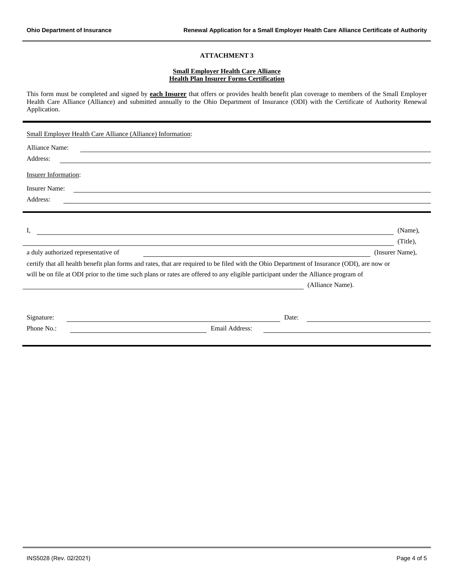### **Small Employer Health Care Alliance Health Plan Insurer Forms Certification**

This form must be completed and signed by **each Insurer** that offers or provides health benefit plan coverage to members of the Small Employer Health Care Alliance (Alliance) and submitted annually to the Ohio Department of Insurance (ODI) with the Certificate of Authority Renewal Application.

| Small Employer Health Care Alliance (Alliance) Information:                                                                                                                                                                                                         |                                                       |
|---------------------------------------------------------------------------------------------------------------------------------------------------------------------------------------------------------------------------------------------------------------------|-------------------------------------------------------|
| Alliance Name:                                                                                                                                                                                                                                                      |                                                       |
| Address:<br>,我们也不能在这里的时候,我们也不能在这里的时候,我们也不能会不能会不能会不能会不能会不能会不能会不能会不能会不能会。<br>第2012章 我们的时候,我们的时候,我们的时候,我们的时候,我们的时候,我们的时候,我们的时候,我们的时候,我们的时候,我们的时候,我们的时候,我们的时候,我                                                                                                         |                                                       |
| <b>Insurer Information:</b>                                                                                                                                                                                                                                         |                                                       |
| <b>Insurer Name:</b>                                                                                                                                                                                                                                                |                                                       |
| Address:<br><u> 1989 - Andrea Santa Alemania, amerikana amerikana amerikana amerikana amerikana amerikana amerikana amerikan</u>                                                                                                                                    |                                                       |
|                                                                                                                                                                                                                                                                     |                                                       |
| <u> 1989 - Johann Stoff, fransk politik (f. 1989)</u>                                                                                                                                                                                                               | (Name).                                               |
| <u> 1989 - Jan Samuel Barbara, martxa al II-lea (h. 1989).</u>                                                                                                                                                                                                      | (Title),                                              |
| a duly authorized representative of                                                                                                                                                                                                                                 | (Insurer Name),                                       |
| certify that all health benefit plan forms and rates, that are required to be filed with the Ohio Department of Insurance (ODI), are now or                                                                                                                         |                                                       |
| will be on file at ODI prior to the time such plans or rates are offered to any eligible participant under the Alliance program of                                                                                                                                  |                                                       |
| (Alliance Name).<br><u> 1989 - Jan Samuel Barbara, margaret eta idazlea (h. 1989).</u>                                                                                                                                                                              |                                                       |
|                                                                                                                                                                                                                                                                     |                                                       |
|                                                                                                                                                                                                                                                                     |                                                       |
| Signature:<br>Date:<br><u> 1989 - Jan Samuel Barbara, margaret eta idazlea (h. 1982).</u>                                                                                                                                                                           | <u> 1989 - Johann Stoff, fransk politik (d. 1989)</u> |
| Phone No.:<br>Email Address:<br><u> 1989 - Johann Harry Harry Harry Harry Harry Harry Harry Harry Harry Harry Harry Harry Harry Harry Harry Harry</u><br><u>and the contract of the contract of the contract of the contract of the contract of the contract of</u> |                                                       |
|                                                                                                                                                                                                                                                                     |                                                       |